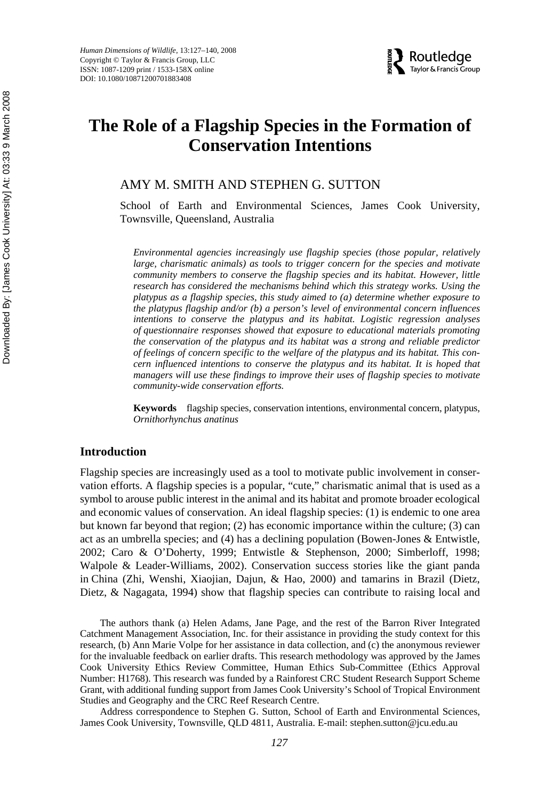

# The Role of a Flagship Species in the Formation of **Conservation Intentions**

# AMY M. SMITH AND STEPHEN G. SUTTON

School of Earth and Environmental Sciences, James Cook University, Townsville, Queensland, Australia

*Environmental agencies increasingly use flagship species (those popular, relatively large, charismatic animals) as tools to trigger concern for the species and motivate community members to conserve the flagship species and its habitat. However, little research has considered the mechanisms behind which this strategy works. Using the platypus as a flagship species, this study aimed to (a) determine whether exposure to the platypus flagship and/or (b) a person's level of environmental concern influences intentions to conserve the platypus and its habitat. Logistic regression analyses of questionnaire responses showed that exposure to educational materials promoting the conservation of the platypus and its habitat was a strong and reliable predictor of feelings of concern specific to the welfare of the platypus and its habitat. This concern influenced intentions to conserve the platypus and its habitat. It is hoped that managers will use these findings to improve their uses of flagship species to motivate community-wide conservation efforts.*

**Keywords** flagship species, conservation intentions, environmental concern, platypus, *Ornithorhynchus anatinus*

# **Introduction**

Flagship species are increasingly used as a tool to motivate public involvement in conservation efforts. A flagship species is a popular, "cute," charismatic animal that is used as a symbol to arouse public interest in the animal and its habitat and promote broader ecological and economic values of conservation. An ideal flagship species: (1) is endemic to one area but known far beyond that region; (2) has economic importance within the culture; (3) can act as an umbrella species; and (4) has a declining population (Bowen-Jones & Entwistle, 2002; Caro & O'Doherty, 1999; Entwistle & Stephenson, 2000; Simberloff, 1998; Walpole & Leader-Williams, 2002). Conservation success stories like the giant panda in China (Zhi, Wenshi, Xiaojian, Dajun, & Hao, 2000) and tamarins in Brazil (Dietz, Dietz, & Nagagata, 1994) show that flagship species can contribute to raising local and

The authors thank (a) Helen Adams, Jane Page, and the rest of the Barron River Integrated Catchment Management Association, Inc. for their assistance in providing the study context for this research, (b) Ann Marie Volpe for her assistance in data collection, and (c) the anonymous reviewer for the invaluable feedback on earlier drafts. This research methodology was approved by the James Cook University Ethics Review Committee, Human Ethics Sub-Committee (Ethics Approval Number: H1768). This research was funded by a Rainforest CRC Student Research Support Scheme Grant, with additional funding support from James Cook University's School of Tropical Environment Studies and Geography and the CRC Reef Research Centre.

Address correspondence to Stephen G. Sutton, School of Earth and Environmental Sciences, James Cook University, Townsville, QLD 4811, Australia. E-mail: stephen.sutton@jcu.edu.au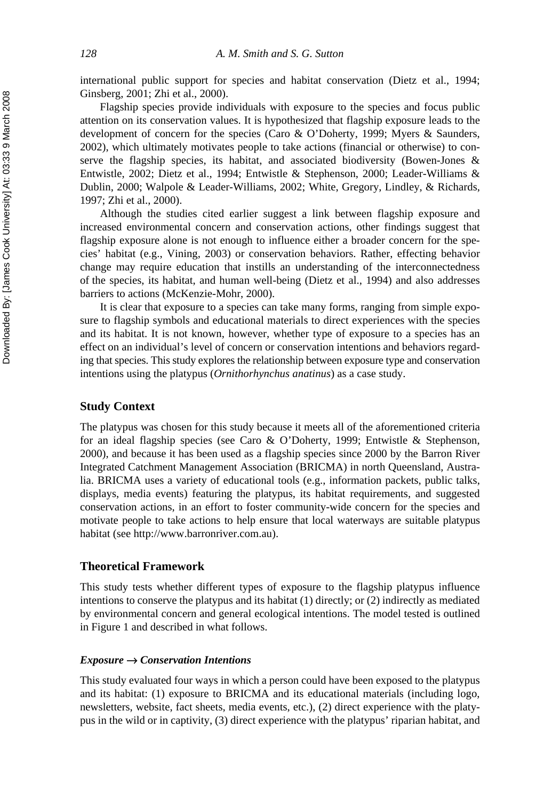international public support for species and habitat conservation (Dietz et al., 1994; Ginsberg, 2001; Zhi et al., 2000).

Flagship species provide individuals with exposure to the species and focus public attention on its conservation values. It is hypothesized that flagship exposure leads to the development of concern for the species (Caro & O'Doherty, 1999; Myers & Saunders, 2002), which ultimately motivates people to take actions (financial or otherwise) to conserve the flagship species, its habitat, and associated biodiversity (Bowen-Jones & Entwistle, 2002; Dietz et al., 1994; Entwistle & Stephenson, 2000; Leader-Williams & Dublin, 2000; Walpole & Leader-Williams, 2002; White, Gregory, Lindley, & Richards, 1997; Zhi et al., 2000).

Although the studies cited earlier suggest a link between flagship exposure and increased environmental concern and conservation actions, other findings suggest that flagship exposure alone is not enough to influence either a broader concern for the species' habitat (e.g., Vining, 2003) or conservation behaviors. Rather, effecting behavior change may require education that instills an understanding of the interconnectedness of the species, its habitat, and human well-being (Dietz et al., 1994) and also addresses barriers to actions (McKenzie-Mohr, 2000).

It is clear that exposure to a species can take many forms, ranging from simple exposure to flagship symbols and educational materials to direct experiences with the species and its habitat. It is not known, however, whether type of exposure to a species has an effect on an individual's level of concern or conservation intentions and behaviors regarding that species. This study explores the relationship between exposure type and conservation intentions using the platypus (*Ornithorhynchus anatinus*) as a case study.

## **Study Context**

The platypus was chosen for this study because it meets all of the aforementioned criteria for an ideal flagship species (see Caro & O'Doherty, 1999; Entwistle & Stephenson, 2000), and because it has been used as a flagship species since 2000 by the Barron River Integrated Catchment Management Association (BRICMA) in north Queensland, Australia. BRICMA uses a variety of educational tools (e.g., information packets, public talks, displays, media events) featuring the platypus, its habitat requirements, and suggested conservation actions, in an effort to foster community-wide concern for the species and motivate people to take actions to help ensure that local waterways are suitable platypus habitat (see http://www.barronriver.com.au).

## **Theoretical Framework**

This study tests whether different types of exposure to the flagship platypus influence intentions to conserve the platypus and its habitat (1) directly; or (2) indirectly as mediated by environmental concern and general ecological intentions. The model tested is outlined in Figure 1 and described in what follows.

#### $Exposure \rightarrow Conservation$  *Intentions*

This study evaluated four ways in which a person could have been exposed to the platypus and its habitat: (1) exposure to BRICMA and its educational materials (including logo, newsletters, website, fact sheets, media events, etc.), (2) direct experience with the platypus in the wild or in captivity, (3) direct experience with the platypus' riparian habitat, and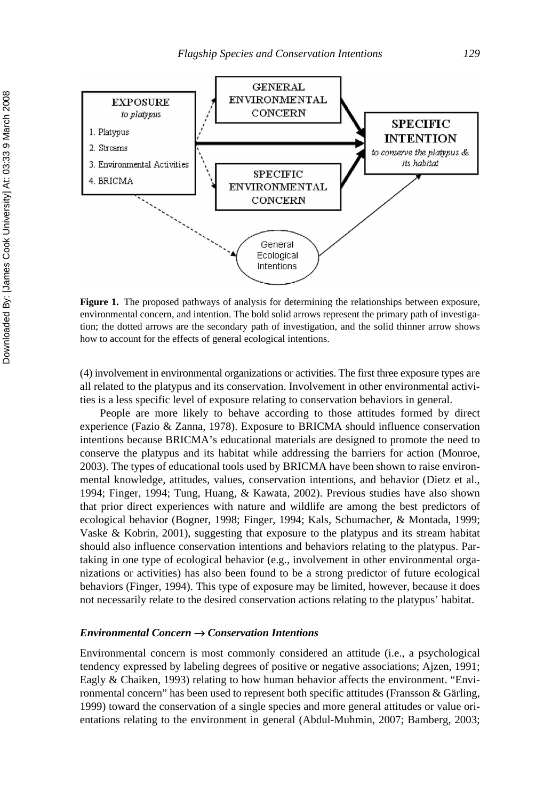

**Figure 1.** The proposed pathways of analysis for determining the relationships between exposure, environmental concern, and intention. The bold solid arrows represent the primary path of investigation; the dotted arrows are the secondary path of investigation, and the solid thinner arrow shows how to account for the effects of general ecological intentions.

(4) involvement in environmental organizations or activities. The first three exposure types are all related to the platypus and its conservation. Involvement in other environmental activities is a less specific level of exposure relating to conservation behaviors in general.

People are more likely to behave according to those attitudes formed by direct experience (Fazio & Zanna, 1978). Exposure to BRICMA should influence conservation intentions because BRICMA's educational materials are designed to promote the need to conserve the platypus and its habitat while addressing the barriers for action (Monroe, 2003). The types of educational tools used by BRICMA have been shown to raise environmental knowledge, attitudes, values, conservation intentions, and behavior (Dietz et al., 1994; Finger, 1994; Tung, Huang, & Kawata, 2002). Previous studies have also shown that prior direct experiences with nature and wildlife are among the best predictors of ecological behavior (Bogner, 1998; Finger, 1994; Kals, Schumacher, & Montada, 1999; Vaske & Kobrin, 2001), suggesting that exposure to the platypus and its stream habitat should also influence conservation intentions and behaviors relating to the platypus. Partaking in one type of ecological behavior (e.g., involvement in other environmental organizations or activities) has also been found to be a strong predictor of future ecological behaviors (Finger, 1994). This type of exposure may be limited, however, because it does not necessarily relate to the desired conservation actions relating to the platypus' habitat.

## *Environmental Concern ® Conservation Intentions*

Environmental concern is most commonly considered an attitude (i.e., a psychological tendency expressed by labeling degrees of positive or negative associations; Ajzen, 1991; Eagly & Chaiken, 1993) relating to how human behavior affects the environment. "Environmental concern" has been used to represent both specific attitudes (Fransson & Gärling, 1999) toward the conservation of a single species and more general attitudes or value orientations relating to the environment in general (Abdul-Muhmin, 2007; Bamberg, 2003;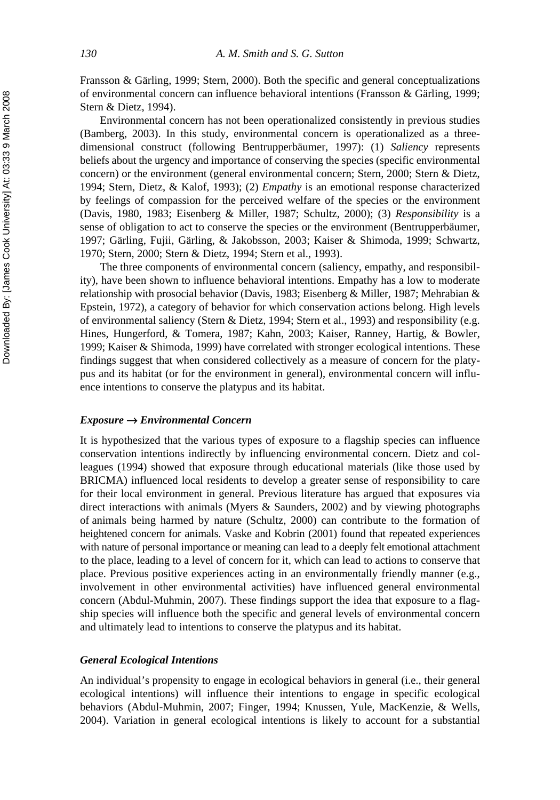Fransson & Gärling, 1999; Stern, 2000). Both the specific and general conceptualizations of environmental concern can influence behavioral intentions (Fransson & Gärling, 1999; Stern & Dietz, 1994).

Environmental concern has not been operationalized consistently in previous studies (Bamberg, 2003). In this study, environmental concern is operationalized as a threedimensional construct (following Bentrupperbäumer, 1997): (1) *Saliency* represents beliefs about the urgency and importance of conserving the species (specific environmental concern) or the environment (general environmental concern; Stern, 2000; Stern & Dietz, 1994; Stern, Dietz, & Kalof, 1993); (2) *Empathy* is an emotional response characterized by feelings of compassion for the perceived welfare of the species or the environment (Davis, 1980, 1983; Eisenberg & Miller, 1987; Schultz, 2000); (3) *Responsibility* is a sense of obligation to act to conserve the species or the environment (Bentrupperbäumer, 1997; Gärling, Fujii, Gärling, & Jakobsson, 2003; Kaiser & Shimoda, 1999; Schwartz, 1970; Stern, 2000; Stern & Dietz, 1994; Stern et al., 1993).

The three components of environmental concern (saliency, empathy, and responsibility), have been shown to influence behavioral intentions. Empathy has a low to moderate relationship with prosocial behavior (Davis, 1983; Eisenberg & Miller, 1987; Mehrabian & Epstein, 1972), a category of behavior for which conservation actions belong. High levels of environmental saliency (Stern & Dietz, 1994; Stern et al., 1993) and responsibility (e.g. Hines, Hungerford, & Tomera, 1987; Kahn, 2003; Kaiser, Ranney, Hartig, & Bowler, 1999; Kaiser & Shimoda, 1999) have correlated with stronger ecological intentions. These findings suggest that when considered collectively as a measure of concern for the platypus and its habitat (or for the environment in general), environmental concern will influence intentions to conserve the platypus and its habitat.

## *Exposure ® Environmental Concern*

It is hypothesized that the various types of exposure to a flagship species can influence conservation intentions indirectly by influencing environmental concern. Dietz and colleagues (1994) showed that exposure through educational materials (like those used by BRICMA) influenced local residents to develop a greater sense of responsibility to care for their local environment in general. Previous literature has argued that exposures via direct interactions with animals (Myers & Saunders, 2002) and by viewing photographs of animals being harmed by nature (Schultz, 2000) can contribute to the formation of heightened concern for animals. Vaske and Kobrin (2001) found that repeated experiences with nature of personal importance or meaning can lead to a deeply felt emotional attachment to the place, leading to a level of concern for it, which can lead to actions to conserve that place. Previous positive experiences acting in an environmentally friendly manner (e.g., involvement in other environmental activities) have influenced general environmental concern (Abdul-Muhmin, 2007). These findings support the idea that exposure to a flagship species will influence both the specific and general levels of environmental concern and ultimately lead to intentions to conserve the platypus and its habitat.

#### *General Ecological Intentions*

An individual's propensity to engage in ecological behaviors in general (i.e., their general ecological intentions) will influence their intentions to engage in specific ecological behaviors (Abdul-Muhmin, 2007; Finger, 1994; Knussen, Yule, MacKenzie, & Wells, 2004). Variation in general ecological intentions is likely to account for a substantial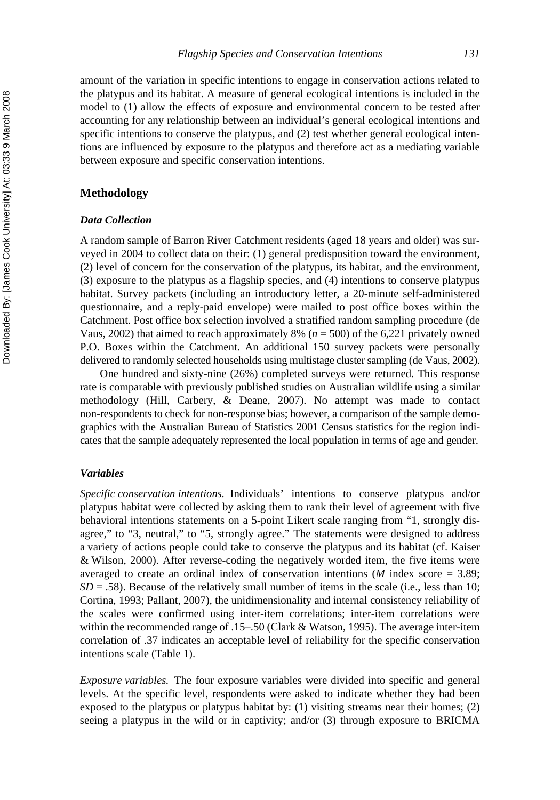amount of the variation in specific intentions to engage in conservation actions related to the platypus and its habitat. A measure of general ecological intentions is included in the model to (1) allow the effects of exposure and environmental concern to be tested after accounting for any relationship between an individual's general ecological intentions and specific intentions to conserve the platypus, and (2) test whether general ecological intentions are influenced by exposure to the platypus and therefore act as a mediating variable between exposure and specific conservation intentions.

# **Methodology**

#### *Data Collection*

A random sample of Barron River Catchment residents (aged 18 years and older) was surveyed in 2004 to collect data on their: (1) general predisposition toward the environment, (2) level of concern for the conservation of the platypus, its habitat, and the environment, (3) exposure to the platypus as a flagship species, and (4) intentions to conserve platypus habitat. Survey packets (including an introductory letter, a 20-minute self-administered questionnaire, and a reply-paid envelope) were mailed to post office boxes within the Catchment. Post office box selection involved a stratified random sampling procedure (de Vaus, 2002) that aimed to reach approximately 8% (*n* = 500) of the 6,221 privately owned P.O. Boxes within the Catchment. An additional 150 survey packets were personally delivered to randomly selected households using multistage cluster sampling (de Vaus, 2002).

One hundred and sixty-nine (26%) completed surveys were returned. This response rate is comparable with previously published studies on Australian wildlife using a similar methodology (Hill, Carbery, & Deane, 2007). No attempt was made to contact non-respondents to check for non-response bias; however, a comparison of the sample demographics with the Australian Bureau of Statistics 2001 Census statistics for the region indicates that the sample adequately represented the local population in terms of age and gender.

# *Variables*

*Specific conservation intentions.* Individuals' intentions to conserve platypus and/or platypus habitat were collected by asking them to rank their level of agreement with five behavioral intentions statements on a 5-point Likert scale ranging from "1, strongly disagree," to "3, neutral," to "5, strongly agree." The statements were designed to address a variety of actions people could take to conserve the platypus and its habitat (cf. Kaiser & Wilson, 2000). After reverse-coding the negatively worded item, the five items were averaged to create an ordinal index of conservation intentions (*M* index score = 3.89;  $SD = .58$ ). Because of the relatively small number of items in the scale (i.e., less than 10; Cortina, 1993; Pallant, 2007), the unidimensionality and internal consistency reliability of the scales were confirmed using inter-item correlations; inter-item correlations were within the recommended range of  $.15-.50$  (Clark & Watson, 1995). The average inter-item correlation of .37 indicates an acceptable level of reliability for the specific conservation intentions scale (Table 1).

*Exposure variables.* The four exposure variables were divided into specific and general levels. At the specific level, respondents were asked to indicate whether they had been exposed to the platypus or platypus habitat by: (1) visiting streams near their homes; (2) seeing a platypus in the wild or in captivity; and/or (3) through exposure to BRICMA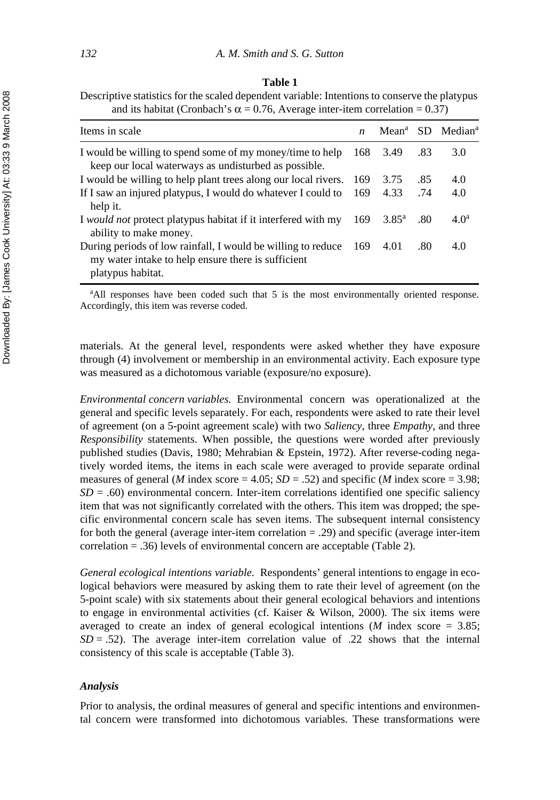| Table 1                                                                                       |
|-----------------------------------------------------------------------------------------------|
| Descriptive statistics for the scaled dependent variable: Intentions to conserve the platypus |
| and its habitat (Cronbach's $\alpha$ = 0.76, Average inter-item correlation = 0.37)           |

| Items in scale                                                                                                                          | $\boldsymbol{n}$ |                |     | Mean <sup>a</sup> SD Median <sup>a</sup> |
|-----------------------------------------------------------------------------------------------------------------------------------------|------------------|----------------|-----|------------------------------------------|
| I would be willing to spend some of my money/time to help<br>keep our local waterways as undisturbed as possible.                       | -168             | 3.49           | .83 | 3.0                                      |
| I would be willing to help plant trees along our local rivers.                                                                          | 169              | 3.75           | .85 | 4.0                                      |
| If I saw an injured platypus, I would do whatever I could to<br>help it.                                                                | - 169            | 4.33           | .74 | 4.0                                      |
| I would not protect platypus habitat if it interfered with my<br>ability to make money.                                                 | 169              | $3.85^{\rm a}$ | .80 | 4.0 <sup>a</sup>                         |
| During periods of low rainfall, I would be willing to reduce<br>my water intake to help ensure there is sufficient<br>platypus habitat. | - 169            | 4.01           | .80 | 4.0                                      |

<sup>a</sup>All responses have been coded such that 5 is the most environmentally oriented response. Accordingly, this item was reverse coded.

materials. At the general level, respondents were asked whether they have exposure through (4) involvement or membership in an environmental activity. Each exposure type was measured as a dichotomous variable (exposure/no exposure).

*Environmental concern variables.* Environmental concern was operationalized at the general and specific levels separately. For each, respondents were asked to rate their level of agreement (on a 5-point agreement scale) with two *Saliency*, three *Empathy*, and three *Responsibility* statements. When possible, the questions were worded after previously published studies (Davis, 1980; Mehrabian & Epstein, 1972). After reverse-coding negatively worded items, the items in each scale were averaged to provide separate ordinal measures of general (*M* index score  $= 4.05$ ; *SD*  $= .52$ ) and specific (*M* index score  $= 3.98$ ;  $SD = .60$ ) environmental concern. Inter-item correlations identified one specific saliency item that was not significantly correlated with the others. This item was dropped; the specific environmental concern scale has seven items. The subsequent internal consistency for both the general (average inter-item correlation = .29) and specific (average inter-item correlation = .36) levels of environmental concern are acceptable (Table 2).

*General ecological intentions variable.* Respondents' general intentions to engage in ecological behaviors were measured by asking them to rate their level of agreement (on the 5-point scale) with six statements about their general ecological behaviors and intentions to engage in environmental activities (cf. Kaiser & Wilson, 2000). The six items were averaged to create an index of general ecological intentions (*M* index score = 3.85;  $SD = .52$ ). The average inter-item correlation value of .22 shows that the internal consistency of this scale is acceptable (Table 3).

## *Analysis*

Prior to analysis, the ordinal measures of general and specific intentions and environmental concern were transformed into dichotomous variables. These transformations were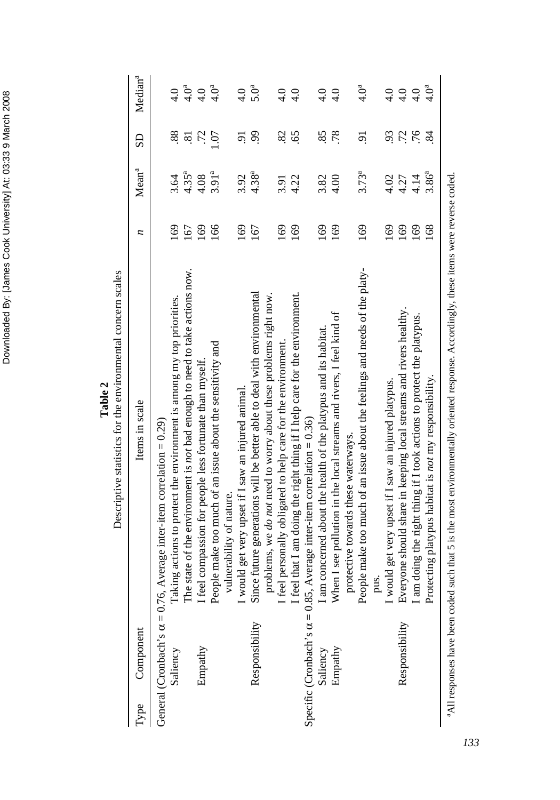Downloaded By: [James Cook University] At: 03:33 9 March 2008 Downloaded By: [James Cook University] At: 03:33 9 March 2008

| Type | Component                                       | Items in scale                                                                                                                                        | z   | Mean <sup>a</sup> | SD                    | Median <sup>a</sup> |
|------|-------------------------------------------------|-------------------------------------------------------------------------------------------------------------------------------------------------------|-----|-------------------|-----------------------|---------------------|
|      | Saliency                                        | Taking actions to protect the environment is among my top priorities.<br>General (Cronbach's $\alpha = 0.76$ , Average inter-item correlation = 0.29) | 69  | 3.64              | 88.                   | 4.0                 |
|      |                                                 | The state of the environment is not bad enough to need to take actions now.                                                                           | 167 | $4.35^a$          | $\ddot{s}$            | 4.0 <sup>a</sup>    |
|      | Empathy                                         | feel compassion for people less fortunate than myself.                                                                                                | 169 | 4.08              | .72                   | 4.0                 |
|      |                                                 | People make too much of an issue about the sensitivity and                                                                                            | 166 | $3.91^{a}$        | 107                   | 4.0 <sup>a</sup>    |
|      |                                                 | vulnerability of nature.                                                                                                                              |     |                   |                       |                     |
|      |                                                 | get very upset if I saw an injured animal.<br>I would                                                                                                 | 169 | 3.92              | $\overline{5}$        | $\frac{1}{4}$       |
|      | Responsibility                                  | Since future generations will be better able to deal with environmental                                                                               | 167 | $4.38^{a}$        | $\overline{6}$        | $5.0^{\circ}$       |
|      |                                                 | problems, we do not need to worry about these problems right now.                                                                                     |     |                   |                       |                     |
|      |                                                 | feel personally obligated to help care for the environment.                                                                                           | 169 | 3.91              | 82                    | 4.0                 |
|      |                                                 | feel that I am doing the right thing if I help care for the environment.                                                                              | 169 | 4.22              | 65                    | 4.0                 |
|      |                                                 | Specific (Cronbach's $\alpha = 0.85$ , Average inter-item correlation = 0.36)                                                                         |     |                   |                       |                     |
|      | Saliency                                        | I am concerned about the health of the platypus and its habitat.                                                                                      | 169 | 3.82              | 85                    | 4.0                 |
|      | Empathy                                         | see pollution in the local streams and rivers, I feel kind of<br>When I                                                                               | 169 | 4.00              | 78                    | 4.0                 |
|      |                                                 | protective towards these waterways.                                                                                                                   |     |                   |                       |                     |
|      |                                                 | People make too much of an issue about the feelings and needs of the platy-                                                                           | 169 | $3.73^{a}$        | 5                     | 4.0 <sup>a</sup>    |
|      |                                                 | pus.                                                                                                                                                  |     |                   |                       |                     |
|      |                                                 | get very upset if I saw an injured platypus.<br>[would                                                                                                | 169 | 4.02              | $\tilde{\mathcal{E}}$ | $\frac{1}{4}$       |
|      | Responsibility                                  | Everyone should share in keeping local streams and rivers healthy.                                                                                    | 169 | 4.27              | 72                    | 4.0                 |
|      |                                                 | I am doing the right thing if I took actions to protect the platypus.                                                                                 | 169 | 4.14              | 76                    | 4.0                 |
|      |                                                 | Protecting platypus habitat is not my responsibility.                                                                                                 | 168 | $3.86^{a}$        | 84                    | $4.0^{\rm a}$       |
|      | <sup>a</sup> All responses have been coded such | that 5 is the most environmentally oriented response. Accordingly, these items were reverse coded                                                     |     |                   |                       |                     |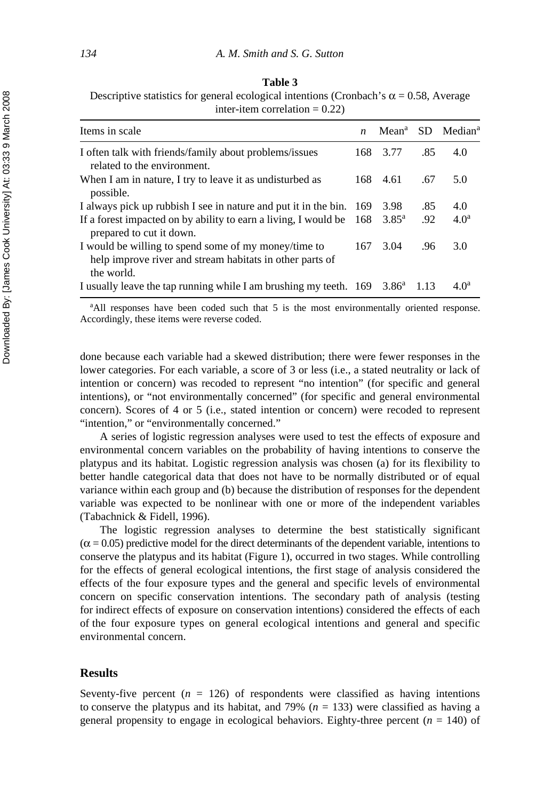| ∵able |  |
|-------|--|
|-------|--|

Descriptive statistics for general ecological intentions (Cronbach's  $\alpha$  = 0.58, Average inter-item correlation  $= 0.22$ )

| Items in scale                                                                                                                 | $\boldsymbol{n}$ | Mean <sup>a</sup> | SD.  | Median <sup>a</sup> |
|--------------------------------------------------------------------------------------------------------------------------------|------------------|-------------------|------|---------------------|
| I often talk with friends/family about problems/issues<br>related to the environment.                                          | 168              | 3.77              | .85  | 4.0                 |
| When I am in nature, I try to leave it as undisturbed as<br>possible.                                                          | 168              | 4.61              | .67  | 5.0                 |
| I always pick up rubbish I see in nature and put it in the bin. 169                                                            |                  | 3.98              | .85  | 4.0                 |
| If a forest impacted on by ability to earn a living, I would be $168$<br>prepared to cut it down.                              |                  | $3.85^{\rm a}$    | .92  | 4.0 <sup>a</sup>    |
| I would be willing to spend some of my money/time to<br>help improve river and stream habitats in other parts of<br>the world. | 167              | 3.04              | .96  | 3.0                 |
| I usually leave the tap running while I am brushing my teeth. 169                                                              |                  | $3.86^{\circ}$    | 1.13 | 4.0 <sup>a</sup>    |

<sup>a</sup>All responses have been coded such that 5 is the most environmentally oriented response. Accordingly, these items were reverse coded.

done because each variable had a skewed distribution; there were fewer responses in the lower categories. For each variable, a score of 3 or less (i.e., a stated neutrality or lack of intention or concern) was recoded to represent "no intention" (for specific and general intentions), or "not environmentally concerned" (for specific and general environmental concern). Scores of 4 or 5 (i.e., stated intention or concern) were recoded to represent "intention," or "environmentally concerned."

A series of logistic regression analyses were used to test the effects of exposure and environmental concern variables on the probability of having intentions to conserve the platypus and its habitat. Logistic regression analysis was chosen (a) for its flexibility to better handle categorical data that does not have to be normally distributed or of equal variance within each group and (b) because the distribution of responses for the dependent variable was expected to be nonlinear with one or more of the independent variables (Tabachnick & Fidell, 1996).

The logistic regression analyses to determine the best statistically significant  $(\alpha = 0.05)$  predictive model for the direct determinants of the dependent variable, intentions to conserve the platypus and its habitat (Figure 1), occurred in two stages. While controlling for the effects of general ecological intentions, the first stage of analysis considered the effects of the four exposure types and the general and specific levels of environmental concern on specific conservation intentions. The secondary path of analysis (testing for indirect effects of exposure on conservation intentions) considered the effects of each of the four exposure types on general ecological intentions and general and specific environmental concern.

# **Results**

Seventy-five percent  $(n = 126)$  of respondents were classified as having intentions to conserve the platypus and its habitat, and 79% ( $n = 133$ ) were classified as having a general propensity to engage in ecological behaviors. Eighty-three percent (*n* = 140) of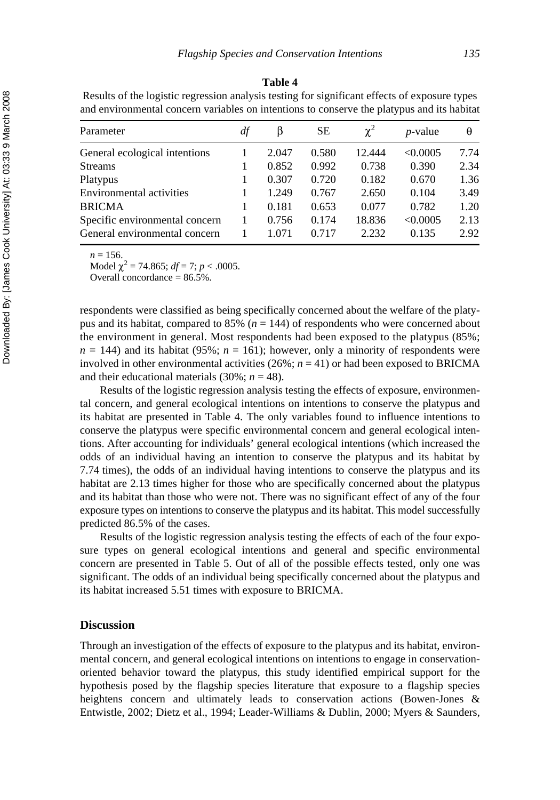| Results of the logistic regression analysis testing for significant effects of exposure types<br>and environmental concern variables on intentions to conserve the platypus and its habitat |    |       |           |        |            |      |  |
|---------------------------------------------------------------------------------------------------------------------------------------------------------------------------------------------|----|-------|-----------|--------|------------|------|--|
| Parameter                                                                                                                                                                                   | df | ß     | <b>SE</b> |        | $p$ -value | θ    |  |
| General ecological intentions                                                                                                                                                               |    | 2.047 | 0.580     | 12.444 | < 0.0005   | 7.74 |  |
| <b>Streams</b>                                                                                                                                                                              |    | 0.852 | 0.992     | 0.738  | 0.390      | 2.34 |  |
| Platypus                                                                                                                                                                                    |    | 0.307 | 0.720     | 0.182  | 0.670      | 1.36 |  |
| Environmental activities                                                                                                                                                                    |    | 1.249 | 0.767     | 2.650  | 0.104      | 3.49 |  |
| <b>BRICMA</b>                                                                                                                                                                               |    | 0.181 | 0.653     | 0.077  | 0.782      | 1.20 |  |
| Specific environmental concern                                                                                                                                                              |    | 0.756 | 0.174     | 18.836 | < 0.0005   | 2.13 |  |
| General environmental concern                                                                                                                                                               |    | 1.071 | 0.717     | 2.232  | 0.135      | 2.92 |  |

**Table 4**

Results of the logistic regression analysis testing for significant effects of exposure types

 $n = 156$ .

Model  $\chi^2$  = 74.865; *df* = 7; *p* < .0005.

Overall concordance = 86.5%.

respondents were classified as being specifically concerned about the welfare of the platypus and its habitat, compared to  $85\%$  ( $n = 144$ ) of respondents who were concerned about the environment in general. Most respondents had been exposed to the platypus (85%;  $n = 144$ ) and its habitat (95%;  $n = 161$ ); however, only a minority of respondents were involved in other environmental activities  $(26\%; n = 41)$  or had been exposed to BRICMA and their educational materials  $(30\% : n = 48)$ .

Results of the logistic regression analysis testing the effects of exposure, environmental concern, and general ecological intentions on intentions to conserve the platypus and its habitat are presented in Table 4. The only variables found to influence intentions to conserve the platypus were specific environmental concern and general ecological intentions. After accounting for individuals' general ecological intentions (which increased the odds of an individual having an intention to conserve the platypus and its habitat by 7.74 times), the odds of an individual having intentions to conserve the platypus and its habitat are 2.13 times higher for those who are specifically concerned about the platypus and its habitat than those who were not. There was no significant effect of any of the four exposure types on intentions to conserve the platypus and its habitat. This model successfully predicted 86.5% of the cases.

Results of the logistic regression analysis testing the effects of each of the four exposure types on general ecological intentions and general and specific environmental concern are presented in Table 5. Out of all of the possible effects tested, only one was significant. The odds of an individual being specifically concerned about the platypus and its habitat increased 5.51 times with exposure to BRICMA.

# **Discussion**

Through an investigation of the effects of exposure to the platypus and its habitat, environmental concern, and general ecological intentions on intentions to engage in conservationoriented behavior toward the platypus, this study identified empirical support for the hypothesis posed by the flagship species literature that exposure to a flagship species heightens concern and ultimately leads to conservation actions (Bowen-Jones & Entwistle, 2002; Dietz et al., 1994; Leader-Williams & Dublin, 2000; Myers & Saunders,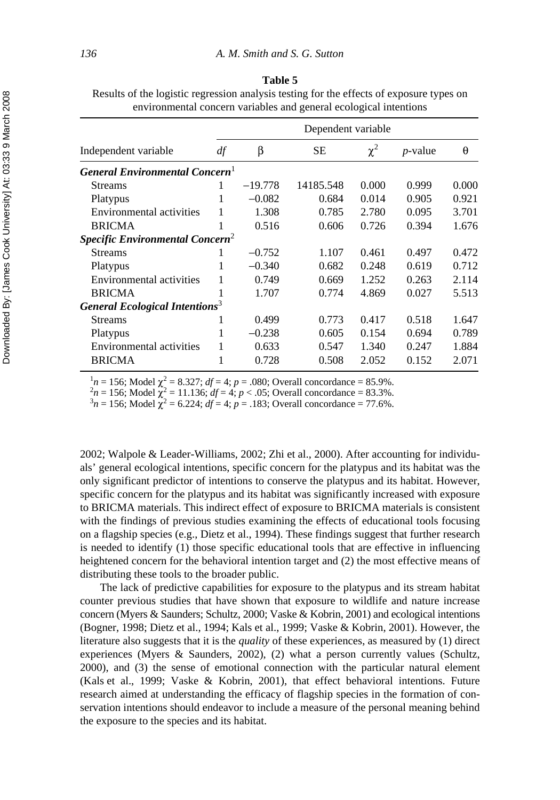| anıe |  |
|------|--|
|------|--|

Results of the logistic regression analysis testing for the effects of exposure types on environmental concern variables and general ecological intentions

|                                             | Dependent variable |           |           |          |                 |       |
|---------------------------------------------|--------------------|-----------|-----------|----------|-----------------|-------|
| Independent variable                        | df                 | β         | SЕ        | $\chi^2$ | <i>p</i> -value | θ     |
| General Environmental Concern <sup>1</sup>  |                    |           |           |          |                 |       |
| <b>Streams</b>                              | 1                  | $-19.778$ | 14185.548 | 0.000    | 0.999           | 0.000 |
| Platypus                                    | 1                  | $-0.082$  | 0.684     | 0.014    | 0.905           | 0.921 |
| Environmental activities                    | 1                  | 1.308     | 0.785     | 2.780    | 0.095           | 3.701 |
| <b>BRICMA</b>                               | 1                  | 0.516     | 0.606     | 0.726    | 0.394           | 1.676 |
| Specific Environmental Concern <sup>2</sup> |                    |           |           |          |                 |       |
| <b>Streams</b>                              | 1                  | $-0.752$  | 1.107     | 0.461    | 0.497           | 0.472 |
| Platypus                                    | 1                  | $-0.340$  | 0.682     | 0.248    | 0.619           | 0.712 |
| Environmental activities                    | 1                  | 0.749     | 0.669     | 1.252    | 0.263           | 2.114 |
| <b>BRICMA</b>                               |                    | 1.707     | 0.774     | 4.869    | 0.027           | 5.513 |
| General Ecological Intentions <sup>3</sup>  |                    |           |           |          |                 |       |
| <b>Streams</b>                              | 1                  | 0.499     | 0.773     | 0.417    | 0.518           | 1.647 |
| Platypus                                    | 1                  | $-0.238$  | 0.605     | 0.154    | 0.694           | 0.789 |
| Environmental activities                    | 1                  | 0.633     | 0.547     | 1.340    | 0.247           | 1.884 |
| <b>BRICMA</b>                               | 1                  | 0.728     | 0.508     | 2.052    | 0.152           | 2.071 |
|                                             |                    |           |           |          |                 |       |

<sup>1</sup> $n = 156$ ; Model  $\chi^2 = 8.327$ ; *df* = 4; *p* = .080; Overall concordance = 85.9%.<br>
<sup>2</sup> $n = 156$ ; Model  $\chi^2 = 11.136$ ; *df* = 4; *p* < .05; Overall concordance = 83.3%.

 $\frac{a}{r^2} = 156$ ; Model  $\chi^2 = 11.136$ ;  $df = 4$ ;  $p < .05$ ; Overall concordance = 83.3%.

 $n = 156$ ; Model  $\chi^2 = 6.224$ ;  $df = 4$ ;  $p = .183$ ; Overall concordance = 77.6%.

2002; Walpole & Leader-Williams, 2002; Zhi et al., 2000). After accounting for individuals' general ecological intentions, specific concern for the platypus and its habitat was the only significant predictor of intentions to conserve the platypus and its habitat. However, specific concern for the platypus and its habitat was significantly increased with exposure to BRICMA materials. This indirect effect of exposure to BRICMA materials is consistent with the findings of previous studies examining the effects of educational tools focusing on a flagship species (e.g., Dietz et al., 1994). These findings suggest that further research is needed to identify (1) those specific educational tools that are effective in influencing heightened concern for the behavioral intention target and (2) the most effective means of distributing these tools to the broader public.

The lack of predictive capabilities for exposure to the platypus and its stream habitat counter previous studies that have shown that exposure to wildlife and nature increase concern (Myers & Saunders; Schultz, 2000; Vaske & Kobrin, 2001) and ecological intentions (Bogner, 1998; Dietz et al., 1994; Kals et al., 1999; Vaske & Kobrin, 2001). However, the literature also suggests that it is the *quality* of these experiences, as measured by (1) direct experiences (Myers & Saunders, 2002), (2) what a person currently values (Schultz, 2000), and (3) the sense of emotional connection with the particular natural element (Kals et al., 1999; Vaske & Kobrin, 2001), that effect behavioral intentions. Future research aimed at understanding the efficacy of flagship species in the formation of conservation intentions should endeavor to include a measure of the personal meaning behind the exposure to the species and its habitat.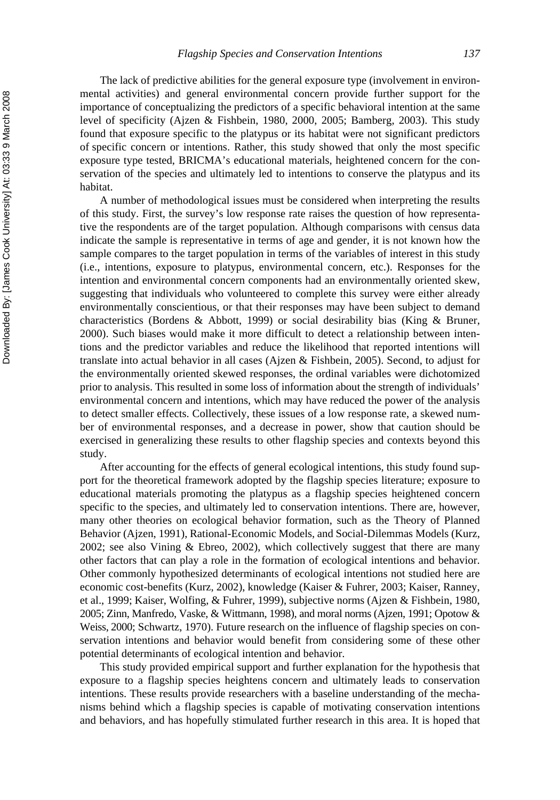The lack of predictive abilities for the general exposure type (involvement in environmental activities) and general environmental concern provide further support for the importance of conceptualizing the predictors of a specific behavioral intention at the same level of specificity (Ajzen & Fishbein, 1980, 2000, 2005; Bamberg, 2003). This study found that exposure specific to the platypus or its habitat were not significant predictors of specific concern or intentions. Rather, this study showed that only the most specific exposure type tested, BRICMA's educational materials, heightened concern for the conservation of the species and ultimately led to intentions to conserve the platypus and its habitat.

A number of methodological issues must be considered when interpreting the results of this study. First, the survey's low response rate raises the question of how representative the respondents are of the target population. Although comparisons with census data indicate the sample is representative in terms of age and gender, it is not known how the sample compares to the target population in terms of the variables of interest in this study (i.e., intentions, exposure to platypus, environmental concern, etc.). Responses for the intention and environmental concern components had an environmentally oriented skew, suggesting that individuals who volunteered to complete this survey were either already environmentally conscientious, or that their responses may have been subject to demand characteristics (Bordens & Abbott, 1999) or social desirability bias (King & Bruner, 2000). Such biases would make it more difficult to detect a relationship between intentions and the predictor variables and reduce the likelihood that reported intentions will translate into actual behavior in all cases (Ajzen & Fishbein, 2005). Second, to adjust for the environmentally oriented skewed responses, the ordinal variables were dichotomized prior to analysis. This resulted in some loss of information about the strength of individuals' environmental concern and intentions, which may have reduced the power of the analysis to detect smaller effects. Collectively, these issues of a low response rate, a skewed number of environmental responses, and a decrease in power, show that caution should be exercised in generalizing these results to other flagship species and contexts beyond this study.

After accounting for the effects of general ecological intentions, this study found support for the theoretical framework adopted by the flagship species literature; exposure to educational materials promoting the platypus as a flagship species heightened concern specific to the species, and ultimately led to conservation intentions. There are, however, many other theories on ecological behavior formation, such as the Theory of Planned Behavior (Ajzen, 1991), Rational-Economic Models, and Social-Dilemmas Models (Kurz, 2002; see also Vining & Ebreo, 2002), which collectively suggest that there are many other factors that can play a role in the formation of ecological intentions and behavior. Other commonly hypothesized determinants of ecological intentions not studied here are economic cost-benefits (Kurz, 2002), knowledge (Kaiser & Fuhrer, 2003; Kaiser, Ranney, et al., 1999; Kaiser, Wolfing, & Fuhrer, 1999), subjective norms (Ajzen & Fishbein, 1980, 2005; Zinn, Manfredo, Vaske, & Wittmann, 1998), and moral norms (Ajzen, 1991; Opotow & Weiss, 2000; Schwartz, 1970). Future research on the influence of flagship species on conservation intentions and behavior would benefit from considering some of these other potential determinants of ecological intention and behavior.

This study provided empirical support and further explanation for the hypothesis that exposure to a flagship species heightens concern and ultimately leads to conservation intentions. These results provide researchers with a baseline understanding of the mechanisms behind which a flagship species is capable of motivating conservation intentions and behaviors, and has hopefully stimulated further research in this area. It is hoped that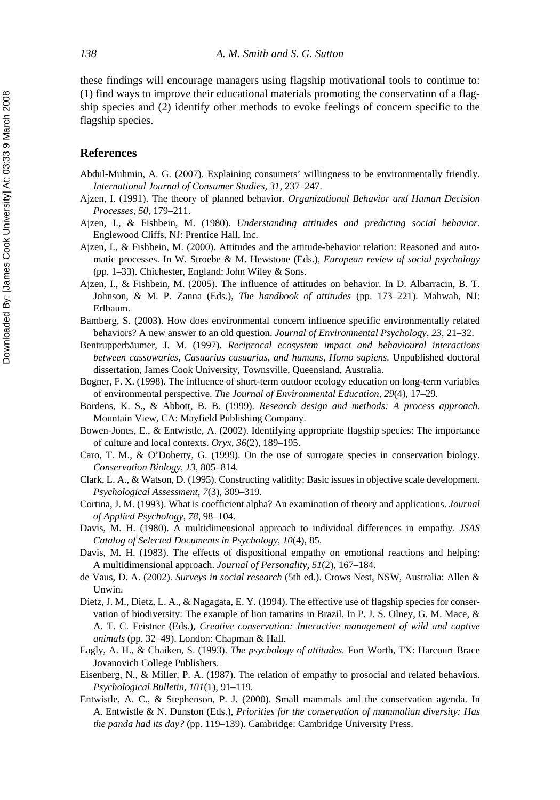these findings will encourage managers using flagship motivational tools to continue to: (1) find ways to improve their educational materials promoting the conservation of a flagship species and (2) identify other methods to evoke feelings of concern specific to the flagship species.

# **References**

- Abdul-Muhmin, A. G. (2007). Explaining consumers' willingness to be environmentally friendly. *International Journal of Consumer Studies, 31,* 237–247.
- Ajzen, I. (1991). The theory of planned behavior. *Organizational Behavior and Human Decision Processes, 50,* 179–211.
- Ajzen, I., & Fishbein, M. (1980). *Understanding attitudes and predicting social behavior.* Englewood Cliffs, NJ: Prentice Hall, Inc.
- Ajzen, I., & Fishbein, M. (2000). Attitudes and the attitude-behavior relation: Reasoned and automatic processes. In W. Stroebe & M. Hewstone (Eds.), *European review of social psychology* (pp. 1–33). Chichester, England: John Wiley & Sons.
- Ajzen, I., & Fishbein, M. (2005). The influence of attitudes on behavior. In D. Albarracin, B. T. Johnson, & M. P. Zanna (Eds.), *The handbook of attitudes* (pp. 173–221). Mahwah, NJ: Erlbaum.
- Bamberg, S. (2003). How does environmental concern influence specific environmentally related behaviors? A new answer to an old question. *Journal of Environmental Psychology, 23,* 21–32.
- Bentrupperbäumer, J. M. (1997). *Reciprocal ecosystem impact and behavioural interactions between cassowaries, Casuarius casuarius, and humans, Homo sapiens.* Unpublished doctoral dissertation, James Cook University, Townsville, Queensland, Australia.
- Bogner, F. X. (1998). The influence of short-term outdoor ecology education on long-term variables of environmental perspective. *The Journal of Environmental Education, 29*(4), 17–29.
- Bordens, K. S., & Abbott, B. B. (1999). *Research design and methods: A process approach.* Mountain View, CA: Mayfield Publishing Company.
- Bowen-Jones, E., & Entwistle, A. (2002). Identifying appropriate flagship species: The importance of culture and local contexts. *Oryx, 36*(2), 189–195.
- Caro, T. M., & O'Doherty, G. (1999). On the use of surrogate species in conservation biology. *Conservation Biology, 13*, 805–814.
- Clark, L. A., & Watson, D. (1995). Constructing validity: Basic issues in objective scale development. *Psychological Assessment, 7*(3), 309–319.
- Cortina, J. M. (1993). What is coefficient alpha? An examination of theory and applications. *Journal of Applied Psychology, 78,* 98–104.
- Davis, M. H. (1980). A multidimensional approach to individual differences in empathy. *JSAS Catalog of Selected Documents in Psychology, 10*(4), 85.
- Davis, M. H. (1983). The effects of dispositional empathy on emotional reactions and helping: A multidimensional approach. *Journal of Personality, 51*(2), 167–184.
- de Vaus, D. A. (2002). *Surveys in social research* (5th ed.). Crows Nest, NSW, Australia: Allen & Unwin.
- Dietz, J. M., Dietz, L. A., & Nagagata, E. Y. (1994). The effective use of flagship species for conservation of biodiversity: The example of lion tamarins in Brazil. In P. J. S. Olney, G. M. Mace, & A. T. C. Feistner (Eds.), *Creative conservation: Interactive management of wild and captive animals* (pp. 32–49). London: Chapman & Hall.
- Eagly, A. H., & Chaiken, S. (1993). *The psychology of attitudes.* Fort Worth, TX: Harcourt Brace Jovanovich College Publishers.
- Eisenberg, N., & Miller, P. A. (1987). The relation of empathy to prosocial and related behaviors. *Psychological Bulletin, 101*(1), 91–119.
- Entwistle, A. C., & Stephenson, P. J. (2000). Small mammals and the conservation agenda. In A. Entwistle & N. Dunston (Eds.), *Priorities for the conservation of mammalian diversity: Has the panda had its day?* (pp. 119–139). Cambridge: Cambridge University Press.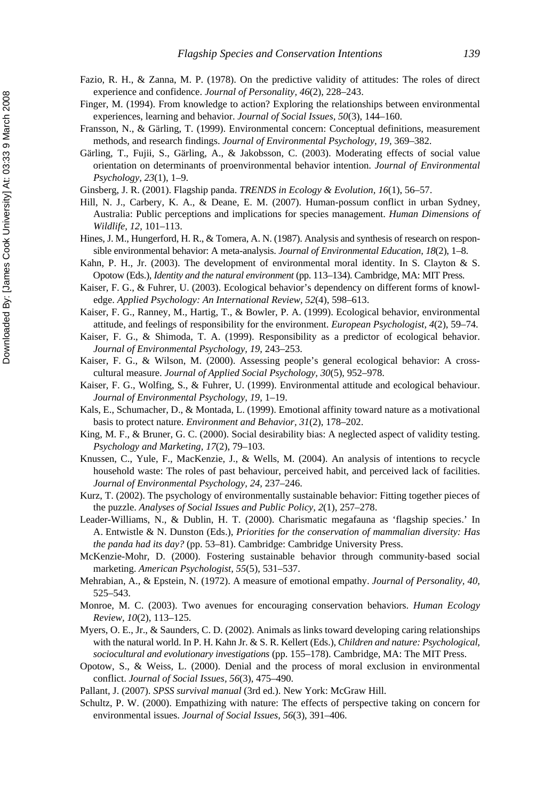- Fazio, R. H., & Zanna, M. P. (1978). On the predictive validity of attitudes: The roles of direct experience and confidence. *Journal of Personality, 46*(2), 228–243.
- Finger, M. (1994). From knowledge to action? Exploring the relationships between environmental experiences, learning and behavior. *Journal of Social Issues, 50*(3), 144–160.
- Fransson, N., & Gärling, T. (1999). Environmental concern: Conceptual definitions, measurement methods, and research findings. *Journal of Environmental Psychology, 19,* 369–382.
- Gärling, T., Fujii, S., Gärling, A., & Jakobsson, C. (2003). Moderating effects of social value orientation on determinants of proenvironmental behavior intention. *Journal of Environmental Psychology, 23*(1), 1–9.
- Ginsberg, J. R. (2001). Flagship panda. *TRENDS in Ecology & Evolution, 16*(1), 56–57.
- Hill, N. J., Carbery, K. A., & Deane, E. M. (2007). Human-possum conflict in urban Sydney, Australia: Public perceptions and implications for species management. *Human Dimensions of Wildlife, 12,* 101–113.
- Hines, J. M., Hungerford, H. R., & Tomera, A. N. (1987). Analysis and synthesis of research on responsible environmental behavior: A meta-analysis. *Journal of Environmental Education, 18*(2), 1–8.
- Kahn, P. H., Jr. (2003). The development of environmental moral identity. In S. Clayton & S. Opotow (Eds.), *Identity and the natural environment* (pp. 113–134). Cambridge, MA: MIT Press.
- Kaiser, F. G., & Fuhrer, U. (2003). Ecological behavior's dependency on different forms of knowledge. *Applied Psychology: An International Review, 52*(4), 598–613.
- Kaiser, F. G., Ranney, M., Hartig, T., & Bowler, P. A. (1999). Ecological behavior, environmental attitude, and feelings of responsibility for the environment. *European Psychologist, 4*(2), 59–74.
- Kaiser, F. G., & Shimoda, T. A. (1999). Responsibility as a predictor of ecological behavior. *Journal of Environmental Psychology, 19,* 243–253.
- Kaiser, F. G., & Wilson, M. (2000). Assessing people's general ecological behavior: A crosscultural measure. *Journal of Applied Social Psychology, 30*(5), 952–978.
- Kaiser, F. G., Wolfing, S., & Fuhrer, U. (1999). Environmental attitude and ecological behaviour. *Journal of Environmental Psychology, 19,* 1–19.
- Kals, E., Schumacher, D., & Montada, L. (1999). Emotional affinity toward nature as a motivational basis to protect nature. *Environment and Behavior, 31*(2), 178–202.
- King, M. F., & Bruner, G. C. (2000). Social desirability bias: A neglected aspect of validity testing. *Psychology and Marketing, 17*(2), 79–103.
- Knussen, C., Yule, F., MacKenzie, J., & Wells, M. (2004). An analysis of intentions to recycle household waste: The roles of past behaviour, perceived habit, and perceived lack of facilities. *Journal of Environmental Psychology, 24,* 237–246.
- Kurz, T. (2002). The psychology of environmentally sustainable behavior: Fitting together pieces of the puzzle. *Analyses of Social Issues and Public Policy, 2*(1), 257–278.
- Leader-Williams, N., & Dublin, H. T. (2000). Charismatic megafauna as 'flagship species.' In A. Entwistle & N. Dunston (Eds.), *Priorities for the conservation of mammalian diversity: Has the panda had its day?* (pp. 53–81). Cambridge: Cambridge University Press.
- McKenzie-Mohr, D. (2000). Fostering sustainable behavior through community-based social marketing. *American Psychologist, 55*(5), 531–537.
- Mehrabian, A., & Epstein, N. (1972). A measure of emotional empathy. *Journal of Personality, 40,* 525–543.
- Monroe, M. C. (2003). Two avenues for encouraging conservation behaviors. *Human Ecology Review, 10*(2), 113–125.
- Myers, O. E., Jr., & Saunders, C. D. (2002). Animals as links toward developing caring relationships with the natural world. In P. H. Kahn Jr. & S. R. Kellert (Eds.), *Children and nature: Psychological, sociocultural and evolutionary investigations* (pp. 155–178). Cambridge, MA: The MIT Press.
- Opotow, S., & Weiss, L. (2000). Denial and the process of moral exclusion in environmental conflict. *Journal of Social Issues, 56*(3), 475–490.
- Pallant, J. (2007). *SPSS survival manual* (3rd ed.). New York: McGraw Hill.
- Schultz, P. W. (2000). Empathizing with nature: The effects of perspective taking on concern for environmental issues. *Journal of Social Issues, 56*(3), 391–406.